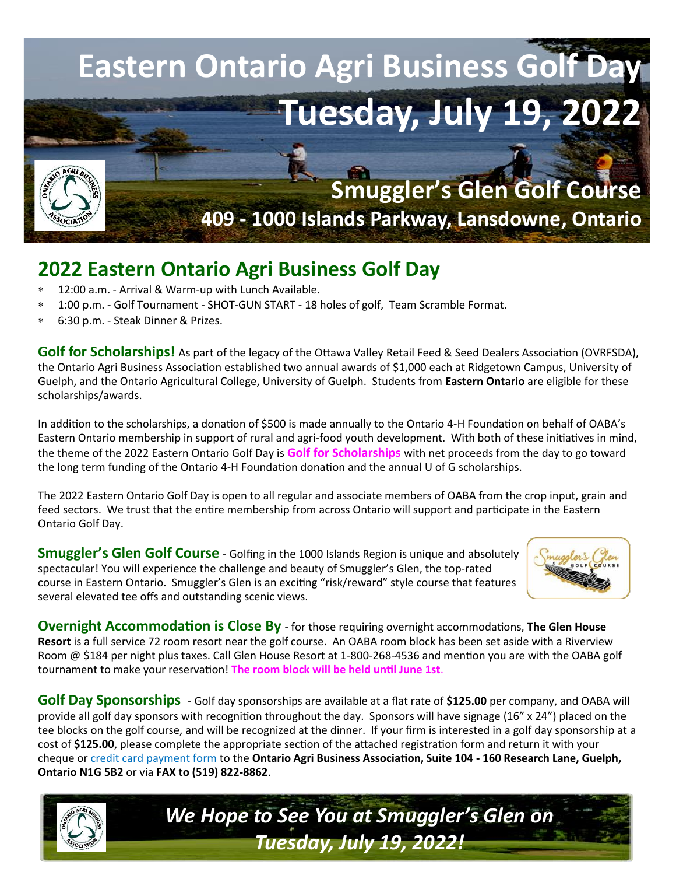

## **2022 Eastern Ontario Agri Business Golf Day**

- 12:00 a.m. Arrival & Warm-up with Lunch Available.
- 1:00 p.m. Golf Tournament SHOT-GUN START 18 holes of golf, Team Scramble Format.
- 6:30 p.m. Steak Dinner & Prizes.

**Golf for Scholarships!** As part of the legacy of the Ottawa Valley Retail Feed & Seed Dealers Association (OVRFSDA), the Ontario Agri Business Association established two annual awards of \$1,000 each at Ridgetown Campus, University of Guelph, and the Ontario Agricultural College, University of Guelph. Students from **Eastern Ontario** are eligible for these scholarships/awards.

In addition to the scholarships, a donation of \$500 is made annually to the Ontario 4-H Foundation on behalf of OABA's Eastern Ontario membership in support of rural and agri-food youth development. With both of these initiatives in mind, the theme of the 2022 Eastern Ontario Golf Day is **Golf for Scholarships** with net proceeds from the day to go toward the long term funding of the Ontario 4-H Foundation donation and the annual U of G scholarships.

The 2022 Eastern Ontario Golf Day is open to all regular and associate members of OABA from the crop input, grain and feed sectors. We trust that the entire membership from across Ontario will support and participate in the Eastern Ontario Golf Day.

**Smuggler's Glen Golf Course** - Golfing in the 1000 Islands Region is unique and absolutely spectacular! You will experience the challenge and beauty of Smuggler's Glen, the top-rated course in Eastern Ontario. Smuggler's Glen is an exciting "risk/reward" style course that features several elevated tee offs and outstanding scenic views.



**Overnight Accommodation is Close By** - for those requiring overnight accommodations, **The Glen House Resort** is a full service 72 room resort near the golf course. An OABA room block has been set aside with a Riverview Room @ \$184 per night plus taxes. Call Glen House Resort at 1-800-268-4536 and mention you are with the OABA golf tournament to make your reservation! **The room block will be held until June 1st**.

**Golf Day Sponsorships** - Golf day sponsorships are available at a flat rate of **\$125.00** per company, and OABA will provide all golf day sponsors with recognition throughout the day. Sponsors will have signage (16" x 24") placed on the tee blocks on the golf course, and will be recognized at the dinner. If your firm is interested in a golf day sponsorship at a cost of **\$125.00**, please complete the appropriate section of the attached registration form and return it with your cheque or [credit card payment form](https://www.oaba.on.ca/downloads/Credit%20Card%20Payment%20form.pdf) to the **Ontario Agri Business Association, Suite 104 - 160 Research Lane, Guelph, Ontario N1G 5B2** or via **FAX to (519) 822-8862**.



*We Hope to See You at Smuggler's Glen on Tuesday, July 19, 2022!*